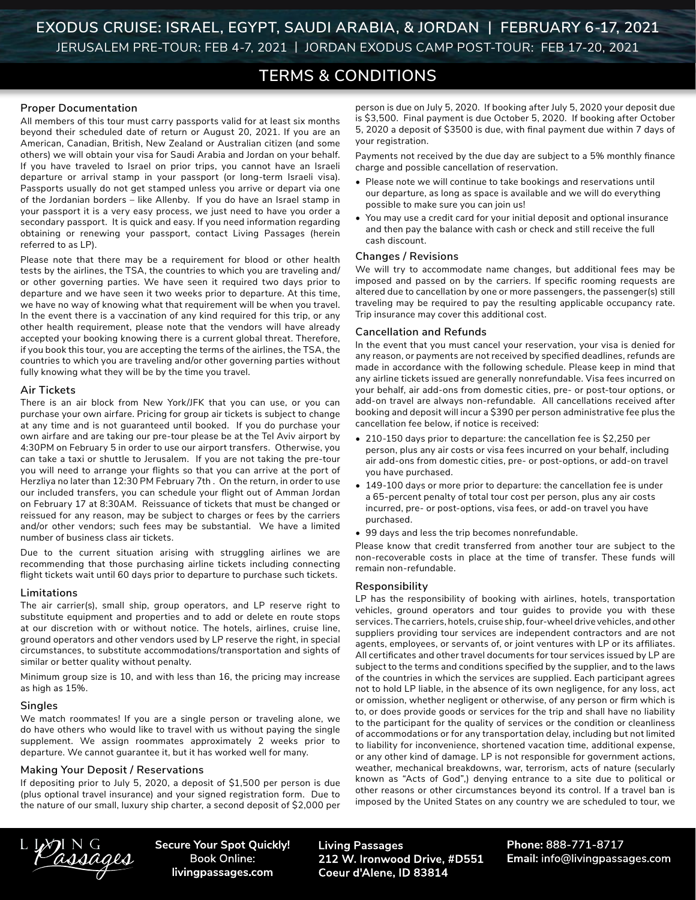# **TERMS & CONDITIONS**

#### **Proper Documentation**

All members of this tour must carry passports valid for at least six months beyond their scheduled date of return or August 20, 2021. If you are an American, Canadian, British, New Zealand or Australian citizen (and some others) we will obtain your visa for Saudi Arabia and Jordan on your behalf. If you have traveled to Israel on prior trips, you cannot have an Israeli departure or arrival stamp in your passport (or long-term Israeli visa). Passports usually do not get stamped unless you arrive or depart via one of the Jordanian borders – like Allenby. If you do have an Israel stamp in your passport it is a very easy process, we just need to have you order a secondary passport. It is quick and easy. If you need information regarding obtaining or renewing your passport, contact Living Passages (herein referred to as LP).

Please note that there may be a requirement for blood or other health tests by the airlines, the TSA, the countries to which you are traveling and/ or other governing parties. We have seen it required two days prior to departure and we have seen it two weeks prior to departure. At this time, we have no way of knowing what that requirement will be when you travel. In the event there is a vaccination of any kind required for this trip, or any other health requirement, please note that the vendors will have already accepted your booking knowing there is a current global threat. Therefore, if you book this tour, you are accepting the terms of the airlines, the TSA, the countries to which you are traveling and/or other governing parties without fully knowing what they will be by the time you travel.

#### **Air Tickets**

There is an air block from New York/JFK that you can use, or you can purchase your own airfare. Pricing for group air tickets is subject to change at any time and is not guaranteed until booked. If you do purchase your own airfare and are taking our pre-tour please be at the Tel Aviv airport by 4:30PM on February 5 in order to use our airport transfers. Otherwise, you can take a taxi or shuttle to Jerusalem. If you are not taking the pre-tour you will need to arrange your flights so that you can arrive at the port of Herzliya no later than 12:30 PM February 7th . On the return, in order to use our included transfers, you can schedule your flight out of Amman Jordan on February 17 at 8:30AM. Reissuance of tickets that must be changed or reissued for any reason, may be subject to charges or fees by the carriers and/or other vendors; such fees may be substantial. We have a limited number of business class air tickets.

Due to the current situation arising with struggling airlines we are recommending that those purchasing airline tickets including connecting flight tickets wait until 60 days prior to departure to purchase such tickets.

#### **Limitations**

The air carrier(s), small ship, group operators, and LP reserve right to substitute equipment and properties and to add or delete en route stops at our discretion with or without notice. The hotels, airlines, cruise line, ground operators and other vendors used by LP reserve the right, in special circumstances, to substitute accommodations/transportation and sights of similar or better quality without penalty.

Minimum group size is 10, and with less than 16, the pricing may increase as high as 15%.

#### **Singles**

We match roommates! If you are a single person or traveling alone, we do have others who would like to travel with us without paying the single supplement. We assign roommates approximately 2 weeks prior to departure. We cannot guarantee it, but it has worked well for many.

#### **Making Your Deposit / Reservations**

If depositing prior to July 5, 2020, a deposit of \$1,500 per person is due (plus optional travel insurance) and your signed registration form. Due to the nature of our small, luxury ship charter, a second deposit of \$2,000 per person is due on July 5, 2020. If booking after July 5, 2020 your deposit due is \$3,500. Final payment is due October 5, 2020. If booking after October 5, 2020 a deposit of \$3500 is due, with final payment due within 7 days of your registration.

Payments not received by the due day are subject to a 5% monthly finance charge and possible cancellation of reservation.

- Please note we will continue to take bookings and reservations until our departure, as long as space is available and we will do everything possible to make sure you can join us!
- You may use a credit card for your initial deposit and optional insurance and then pay the balance with cash or check and still receive the full cash discount.

#### **Changes / Revisions**

We will try to accommodate name changes, but additional fees may be imposed and passed on by the carriers. If specific rooming requests are altered due to cancellation by one or more passengers, the passenger(s) still traveling may be required to pay the resulting applicable occupancy rate. Trip insurance may cover this additional cost.

#### **Cancellation and Refunds**

In the event that you must cancel your reservation, your visa is denied for any reason, or payments are not received by specified deadlines, refunds are made in accordance with the following schedule. Please keep in mind that any airline tickets issued are generally nonrefundable. Visa fees incurred on your behalf, air add-ons from domestic cities, pre- or post-tour options, or add-on travel are always non-refundable. All cancellations received after booking and deposit will incur a \$390 per person administrative fee plus the cancellation fee below, if notice is received:

- 210-150 days prior to departure: the cancellation fee is \$2,250 per person, plus any air costs or visa fees incurred on your behalf, including air add-ons from domestic cities, pre- or post-options, or add-on travel you have purchased.
- 149-100 days or more prior to departure: the cancellation fee is under a 65-percent penalty of total tour cost per person, plus any air costs incurred, pre- or post-options, visa fees, or add-on travel you have purchased.
- 99 days and less the trip becomes nonrefundable.

Please know that credit transferred from another tour are subject to the non-recoverable costs in place at the time of transfer. These funds will remain non-refundable.

#### **Responsibility**

LP has the responsibility of booking with airlines, hotels, transportation vehicles, ground operators and tour guides to provide you with these services. The carriers, hotels, cruise ship, four-wheel drive vehicles, and other suppliers providing tour services are independent contractors and are not agents, employees, or servants of, or joint ventures with LP or its affiliates. All certificates and other travel documents for tour services issued by LP are subject to the terms and conditions specified by the supplier, and to the laws of the countries in which the services are supplied. Each participant agrees not to hold LP liable, in the absence of its own negligence, for any loss, act or omission, whether negligent or otherwise, of any person or firm which is to, or does provide goods or services for the trip and shall have no liability to the participant for the quality of services or the condition or cleanliness of accommodations or for any transportation delay, including but not limited to liability for inconvenience, shortened vacation time, additional expense, or any other kind of damage. LP is not responsible for government actions, weather, mechanical breakdowns, war, terrorism, acts of nature (secularly known as "Acts of God",) denying entrance to a site due to political or other reasons or other circumstances beyond its control. If a travel ban is imposed by the United States on any country we are scheduled to tour, we

assages

**Secure Your Spot Quickly! Book Online:** livingpassages.com

**Living Passages** 212 W. Ironwood Drive, #D551 Coeur d'Alene, ID 83814

Phone: 888-771-8717 Email: info@livingpassages.com